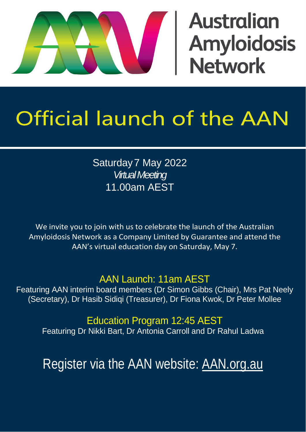# **Australian Amyloidosis<br>Network**

## Official launch of the AAN

Saturday7 May 2022 *Virtual Meeting* 11.00am AEST

We invite you to join with us to celebrate the launch of the Australian Amyloidosis Network as a Company Limited by Guarantee and attend the AAN's virtual education day on Saturday, May 7.

#### AAN Launch: 11am AEST

Featuring AAN interim board members (Dr Simon Gibbs (Chair), Mrs Pat Neely (Secretary), Dr Hasib Sidiqi (Treasurer), Dr Fiona Kwok, Dr Peter Mollee

Education Program 12:45 AEST

Featuring Dr Nikki Bart, Dr Antonia Carroll and Dr Rahul Ladwa

Register via the AAN website: [AAN.org.au](https://aan.org.au/)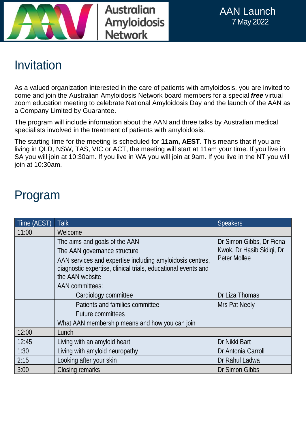



### Invitation

As a valued organization interested in the care of patients with amyloidosis, you are invited to come and join the Australian Amyloidosis Network board members for a special *free* virtual zoom education meeting to celebrate National Amyloidosis Day and the launch of the AAN as a Company Limited by Guarantee.

The program will include information about the AAN and three talks by Australian medical specialists involved in the treatment of patients with amyloidosis.

The starting time for the meeting is scheduled for **11am, AEST**. This means that if you are living in QLD, NSW, TAS, VIC or ACT, the meeting will start at 11am your time. If you live in SA you will join at 10:30am. If you live in WA you will join at 9am. If you live in the NT you will join at 10:30am.

#### Program

| Time (AEST) | Talk                                                                                                                                          | <b>Speakers</b>                                                       |
|-------------|-----------------------------------------------------------------------------------------------------------------------------------------------|-----------------------------------------------------------------------|
| 11:00       | Welcome                                                                                                                                       |                                                                       |
|             | The aims and goals of the AAN                                                                                                                 | Dr Simon Gibbs, Dr Fiona<br>Kwok, Dr Hasib Sidiqi, Dr<br>Peter Mollee |
|             | The AAN governance structure                                                                                                                  |                                                                       |
|             | AAN services and expertise including amyloidosis centres,<br>diagnostic expertise, clinical trials, educational events and<br>the AAN website |                                                                       |
|             | <b>AAN</b> committees:                                                                                                                        |                                                                       |
|             | Cardiology committee                                                                                                                          | Dr Liza Thomas                                                        |
|             | Patients and families committee                                                                                                               | Mrs Pat Neely                                                         |
|             | <b>Future committees</b>                                                                                                                      |                                                                       |
|             | What AAN membership means and how you can join                                                                                                |                                                                       |
| 12:00       | Lunch                                                                                                                                         |                                                                       |
| 12:45       | Living with an amyloid heart                                                                                                                  | Dr Nikki Bart                                                         |
| 1:30        | Living with amyloid neuropathy                                                                                                                | Dr Antonia Carroll                                                    |
| 2:15        | Looking after your skin                                                                                                                       | Dr Rahul Ladwa                                                        |
| 3:00        | Closing remarks                                                                                                                               | Dr Simon Gibbs                                                        |